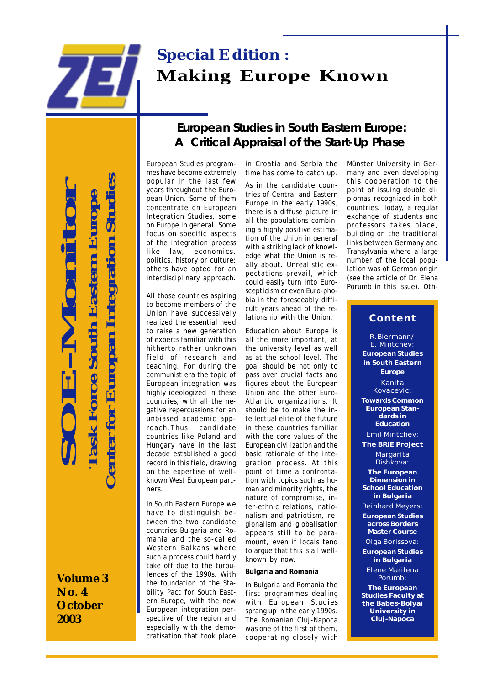

 **Center for Europan Integration Studies** enter for Europan Integration Studies **SOE-Monitor Task Force South Eastern Europe Task Force South Eastern Europe** 

**Volume 3 No. 4 October 2003**

## **European Studies in South Eastern Europe: A Critical Appraisal of the Start-Up Phase**

European Studies programmes have become extremely popular in the last few years throughout the European Union. Some of them concentrate on European Integration Studies, some on Europe in general. Some focus on specific aspects of the integration process like law, economics, politics, history or culture; others have opted for an interdisciplinary approach.

All those countries aspiring to become members of the Union have successively realized the essential need to raise a new generation of experts familiar with this hitherto rather unknown field of research and teaching. For during the communist era the topic of European integration was highly ideologized in these countries, with all the negative repercussions for an unbiased academic approach.Thus, candidate countries like Poland and Hungary have in the last decade established a good record in this field, drawing on the expertise of wellknown West European partners.

In South Eastern Europe we have to distinguish between the two candidate countries Bulgaria and Romania and the so-called Western Balkans where such a process could hardly take off due to the turbulences of the 1990s. With the foundation of the Stability Pact for South Eastern Europe, with the new European integration perspective of the region and especially with the democratisation that took place

in Croatia and Serbia the time has come to catch up.

As in the candidate countries of Central and Eastern Europe in the early 1990s, there is a diffuse picture in all the populations combining a highly positive estimation of the Union in general with a striking lack of knowledge what the Union is really about. Unrealistic expectations prevail, which could easily turn into Euroscepticism or even Euro-phobia in the foreseeably difficult years ahead of the relationship with the Union.

Education about Europe is all the more important, at the university level as well as at the school level. The goal should be not only to pass over crucial facts and figures about the European Union and the other Euro-Atlantic organizations. It should be to make the intellectual elite of the future in these countries familiar with the core values of the European civilization and the basic rationale of the integration process. At this point of time a confrontation with topics such as human and minority rights, the nature of compromise, inter-ethnic relations, nationalism and patriotism, regionalism and globalisation appears still to be paramount, even if locals tend to argue that this is all wellknown by now.

### **Bulgaria and Romania**

In Bulgaria and Romania the first programmes dealing with European Studies sprang up in the early 1990s. The Romanian Cluj-Napoca was one of the first of them, cooperating closely with

Münster University in Germany and even developing this cooperation to the point of issuing double diplomas recognized in both countries. Today, a regular exchange of students and professors takes place, building on the traditional links between Germany and Transylvania where a large number of the local population was of German origin (see the article of Dr. Elena Porumb in this issue). Oth-

### **Content**

R.Biermann/ E. Mintchev: **European Studies in South Eastern Europe** Kanita Kovacevic: **Towards Common European Standards in Education** Emil Mintchev: **The BRIE Project Margarita** Dishkova: **The European Dimension in School Education in Bulgaria** Reinhard Meyers: **European Studies across Borders Master Course** Olga Borissova: **European Studies in Bulgaria** Elene Marilena Porumb: **The European Studies Faculty at**

**the Babes-Bolyai University in Cluj-Napoca**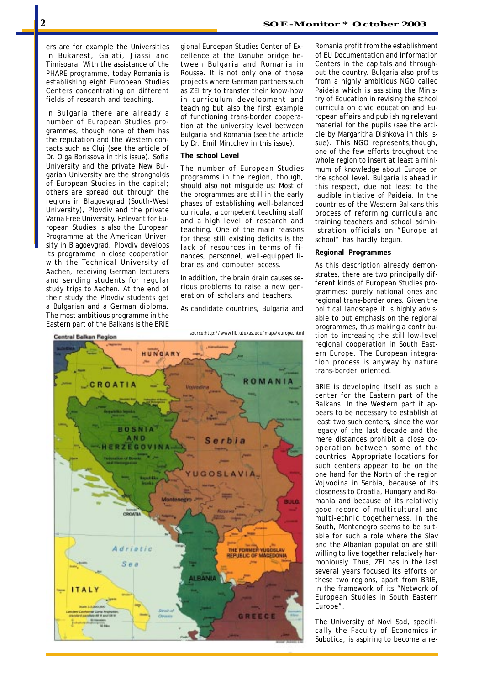ers are for example the Universities in Bukarest, Galati, Jiassi and Timisoara. With the assistance of the PHARE programme, today Romania is establishing eight European Studies Centers concentrating on different fields of research and teaching.

In Bulgaria there are already a number of European Studies programmes, though none of them has the reputation and the Western contacts such as Cluj (see the article of Dr. Olga Borissova in this issue). Sofia University and the private New Bulgarian University are the strongholds of European Studies in the capital; others are spread out through the regions in Blagoevgrad (South-West University), Plovdiv and the private Varna Free University. Relevant for European Studies is also the European Programme at the American University in Blagoevgrad. Plovdiv develops its programme in close cooperation with the Technical University of Aachen, receiving German lecturers and sending students for regular study trips to Aachen. At the end of their study the Plovdiv students get a Bulgarian and a German diploma. The most ambitious programme in the Eastern part of the Balkans is the BRIE gional Euroepan Studies Center of Excellence at the Danube bridge between Bulgaria and Romania in Rousse. It is not only one of those projects where German partners such as ZEI try to transfer their know-how in curriculum development and teaching but also the first example of functioning trans-border cooperation at the university level between Bulgaria and Romania (see the article by Dr. Emil Mintchev in this issue).

### **The school Level**

The number of European Studies programms in the region, though, should also not misguide us: Most of the programmes are still in the early phases of establishing well-balanced curricula, a competent teaching staff and a high level of research and teaching. One of the main reasons for these still existing deficits is the lack of resources in terms of finances, personnel, well-equipped libraries and computer access.

In addition, the brain drain causes serious problems to raise a new generation of scholars and teachers.

As candidate countries, Bulgaria and



*source:http://www.lib.utexas.edu/maps/europe.html*

of EU Documentation and Information Centers in the capitals and throughout the country. Bulgaria also profits from a highly ambitious NGO called Paideia which is assisting the Ministry of Education in revising the school curricula on civic education and European affairs and publishing relevant material for the pupils (see the article by Margaritha Dishkova in this issue). This NGO represents,though, one of the few efforts troughout the whole region to insert at least a minimum of knowledge about Europe on the school level. Bulgaria is ahead in this respect, due not least to the laudible initiative of Paideia. In the countries of the Western Balkans this process of reforming curricula and training teachers and school administration officials on "Europe at school" has hardly begun.

Romania profit from the establishment

### **Regional Programmes**

As this description already demonstrates, there are two principally different kinds of European Studies programmes: purely national ones and regional trans-border ones. Given the political landscape it is highly advisable to put emphasis on the regional programmes, thus making a contribution to increasing the still low-level regional cooperation in South Eastern Europe. The European integration process is anyway by nature trans-border oriented.

BRIE is developing itself as such a center for the Eastern part of the Balkans. In the Western part it appears to be necessary to establish at least two such centers, since the war legacy of the last decade and the mere distances prohibit a close cooperation between some of the countries. Appropriate locations for such centers appear to be on the one hand for the North of the region Vojvodina in Serbia, because of its closeness to Croatia, Hungary and Romania and because of its relatively good record of multicultural and multi-ethnic togetherness. In the South, Montenegro seems to be suitable for such a role where the Slav and the Albanian population are still willing to live together relatively harmoniously. Thus, ZEI has in the last several years focused its efforts on these two regions, apart from BRIE, in the framework of its "Network of European Studies in South Eastern Europe".

The University of Novi Sad, specifically the Faculty of Economics in Subotica, is aspiring to become a re-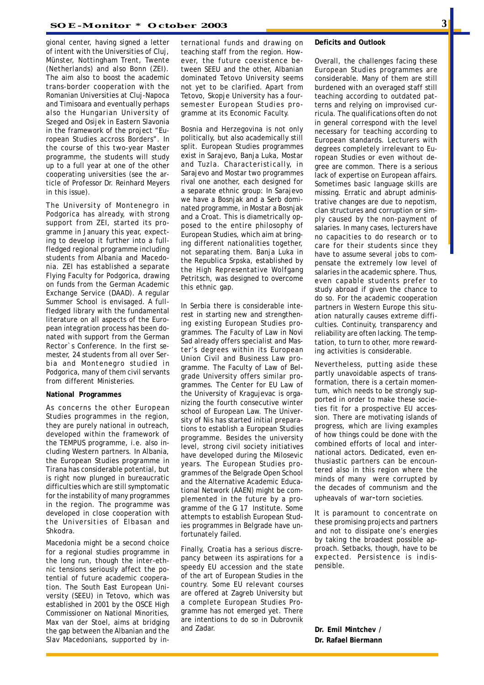gional center, having signed a letter of intent with the Universities of Cluj, Münster, Nottingham Trent, Twente (Netherlands) and also Bonn (ZEI). The aim also to boost the academic trans-border cooperation with the Romanian Universities at Cluj-Napoca and Timisoara and eventually perhaps also the Hungarian University of Szeged and Osijek in Eastern Slavonia in the framework of the project "European Studies accross Borders". In the course of this two-year Master programme, the students will study up to a full year at one of the other cooperating universities (see the article of Professor Dr. Reinhard Meyers in this issue).

The University of Montenegro in Podgorica has already, with strong support from ZEI, started its programme in January this year, expecting to develop it further into a fullfledged regional programme including students from Albania and Macedonia. ZEI has established a separate Flying Faculty for Podgorica, drawing on funds from the German Academic Exchange Service (DAAD). A regular Summer School is envisaged. A fullfledged library with the fundamental literature on all aspects of the European integration process has been donated with support from the German Rector`s Conference. In the first semester, 24 students from all over Serbia and Montenegro studied in Podgorica, many of them civil servants from different Ministeries.

#### **National Programmes**

As concerns the other European Studies programmes in the region, they are purely national in outreach, developed within the framework of the TEMPUS programme, i.e. also including Western partners. In Albania, the European Studies programme in Tirana has considerable potential, but is right now plunged in bureaucratic difficulties which are still symptomatic for the instability of many programmes in the region. The programme was developed in close cooperation with the Universities of Elbasan and Shkodra.

Macedonia might be a second choice for a regional studies programme in the long run, though the inter-ethnic tensions seriously affect the potential of future academic cooperation. The South East European University (SEEU) in Tetovo, which was established in 2001 by the OSCE High Commissioner on National Minorities, Max van der Stoel, aims at bridging the gap between the Albanian and the Slav Macedonians, supported by international funds and drawing on teaching staff from the region. However, the future coexistence between SEEU and the other, Albanian dominated Tetovo University seems not yet to be clarified. Apart from Tetovo, Skopje University has a foursemester European Studies programme at its Economic Faculty.

Bosnia and Herzegovina is not only politically, but also academically still split. European Studies programmes exist in Sarajevo, Banja Luka, Mostar and Tuzla. Characteristically, in Sarajevo and Mostar two programmes rival one another, each designed for a separate ethnic group: In Sarajevo we have a Bosnjak and a Serb dominated programme, in Mostar a Bosnjak and a Croat. This is diametrically opposed to the entire philosophy of European Studies, which aim at bringing different nationalities together, not separating them. Banja Luka in the Republica Srpska, established by the High Representative Wolfgang Petritsch, was designed to overcome this ethnic gap.

In Serbia there is considerable interest in starting new and strengthening existing European Studies programmes. The Faculty of Law in Novi Sad already offers specialist and Master's degrees within its European Union Civil and Business Law programme. The Faculty of Law of Belgrade University offers similar programmes. The Center for EU Law of the University of Kragujevac is organizing the fourth consecutive winter school of European Law. The University of Nis has started initial preparations to establish a European Studies programme. Besides the university level, strong civil society initiatives have developed during the Milosevic years. The European Studies programmes of the Belgrade Open School and the Alternative Academic Educational Network (AAEN) might be complemented in the future by a programme of the G 17 Institute. Some attempts to establish European Studies programmes in Belgrade have unfortunately failed.

Finally, Croatia has a serious discrepancy between its aspirations for a speedy EU accession and the state of the art of European Studies in the country. Some EU relevant courses are offered at Zagreb University but a complete European Studies Programme has not emerged yet. There are intentions to do so in Dubrovnik and Zadar.

#### **Deficits and Outlook**

Overall, the challenges facing these European Studies programmes are considerable. Many of them are still burdened with an overaged staff still teaching according to outdated patterns and relying on improvised curricula. The qualifications often do not in general correspond with the level necessary for teaching according to European standards. Lecturers with degrees completely irrelevant to European Studies or even without degree are common. There is a serious lack of expertise on European affairs. Sometimes basic language skills are missing. Erratic and abrupt administrative changes are due to nepotism, clan structures and corruption or simply caused by the non-payment of salaries. In many cases, lecturers have no capacities to do research or to care for their students since they have to assume several jobs to compensate the extremely low level of salaries in the academic sphere. Thus, even capable students prefer to study abroad if given the chance to do so. For the academic cooperation partners in Western Europe this situation naturally causes extreme difficulties. Continuity, transparency and reliability are often lacking. The temptation, to turn to other, more rewarding activities is considerable.

Nevertheless, putting aside these partly unavoidable aspects of transformation, there is a certain momentum, which needs to be strongly supported in order to make these societies fit for a prospective EU accession. There are motivating islands of progress, which are living examples of how things could be done with the combined efforts of local and international actors. Dedicated, even enthusiastic partners can be encountered also in this region where the minds of many were corrupted by the decades of communism and the upheavals of war-torn societies.

It is paramount to concentrate on these promising projects and partners and not to dissipate one's energies by taking the broadest possible approach. Setbacks, though, have to be expected. Persistence is indispensible.

**Dr. Emil Mintchev / Dr. Rafael Biermann**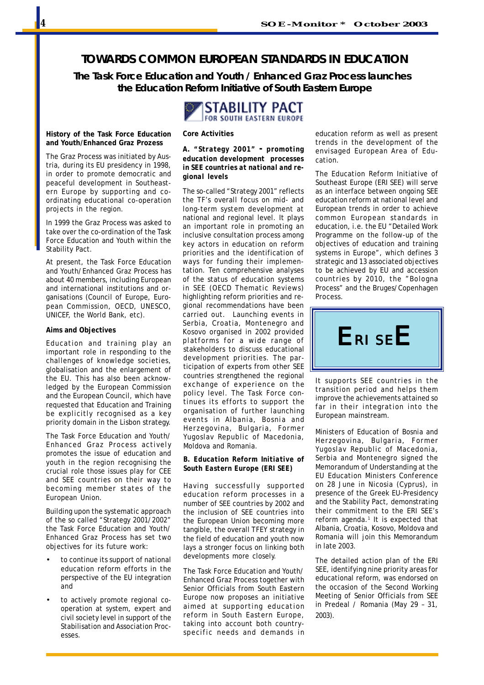### **TOWARDS COMMON EUROPEAN STANDARDS IN EDUCATION**

*The Task Force Education and Youth / Enhanced Graz Process launches the Education Reform Initiative of South Eastern Europe*

> STABILITY PACT FOR SOUTH EASTERN EUROPE

### **History of the Task Force Education and Youth/Enhanced Graz Prozess**

The Graz Process was initiated by Austria, during its EU presidency in 1998, in order to promote democratic and peaceful development in Southeastern Europe by supporting and coordinating educational co-operation projects in the region.

In 1999 the Graz Process was asked to take over the co-ordination of the Task Force Education and Youth within the Stability Pact.

At present, the Task Force Education and Youth/Enhanced Graz Process has about 40 members, including European and international institutions and organisations (Council of Europe, European Commission, OECD, UNESCO, UNICEF, the World Bank, etc).

#### **Aims and Objectives**

Education and training play an important role in responding to the challenges of knowledge societies, globalisation and the enlargement of the EU. This has also been acknowledged by the European Commission and the European Council, which have requested that Education and Training be explicitly recognised as a key priority domain in the Lisbon strategy.

The Task Force Education and Youth/ Enhanced Graz Process actively promotes the issue of education and youth in the region recognising the crucial role those issues play for CEE and SEE countries on their way to becoming member states of the European Union.

Building upon the systematic approach of the so called "Strategy 2001/2002" the Task Force Education and Youth/ Enhanced Graz Process has set two objectives for its future work:

- to continue its support of national education reform efforts in the perspective of the EU integration and
- to actively promote regional cooperation at system, expert and civil society level in support of the Stabilisation and Association Processes.

### **Core Activities**

### *A. "Strategy 2001"* **-** *promoting education development processes in SEE countries at national and regional levels*

The so-called "Strategy 2001" reflects the TF's overall focus on mid- and long-term system development at national and regional level. It plays an important role in promoting an inclusive consultation process among key actors in education on reform priorities and the identification of ways for funding their implementation. Ten comprehensive analyses of the status of education systems in SEE (OECD Thematic Reviews) highlighting reform priorities and regional recommendations have been carried out. Launching events in Serbia, Croatia, Montenegro and Kosovo organised in 2002 provided platforms for a wide range of stakeholders to discuss educational development priorities. The participation of experts from other SEE countries strengthened the regional exchange of experience on the policy level. The Task Force continues its efforts to support the organisation of further launching events in Albania, Bosnia and Herzegovina, Bulgaria, Former Yugoslav Republic of Macedonia, Moldova and Romania.

### *B. Education Reform Initiative of South Eastern Europe (ERI SEE)*

Having successfully supported education reform processes in a number of SEE countries by 2002 and the inclusion of SEE countries into the European Union becoming more tangible, the overall TFEY strategy in the field of education and youth now lays a stronger focus on linking both developments more closely.

The Task Force Education and Youth/ Enhanced Graz Process together with Senior Officials from South Eastern Europe now proposes an initiative aimed at supporting education reform in South Eastern Europe, taking into account both countryspecific needs and demands in

education reform as well as present trends in the development of the envisaged European Area of Education.

The Education Reform Initiative of Southeast Europe (ERI SEE) will serve as an interface between ongoing SEE education reform at national level and European trends in order to achieve common European standards in education, i.e. the EU "Detailed Work Programme on the follow-up of the objectives of education and training systems in Europe", which defines 3 strategic and 13 associated objectives to be achieved by EU and accession countries by 2010, the "Bologna Process" and the Bruges/Copenhagen Process.



It supports SEE countries in the transition period and helps them improve the achievements attained so far in their integration into the European mainstream.

Ministers of Education of Bosnia and Herzegovina, Bulgaria, Former Yugoslav Republic of Macedonia, Serbia and Montenegro signed the Memorandum of Understanding at the EU Education Ministers Conference on 28 June in Nicosia (Cyprus), in presence of the Greek EU-Presidency and the Stability Pact, demonstrating their commitment to the ERI SEE's reform agenda.<sup>1</sup> It is expected that Albania, Croatia, Kosovo, Moldova and Romania will join this Memorandum in late 2003.

The detailed action plan of the ERI SEE, identifying nine priority areas for educational reform, was endorsed on the occasion of the Second Working Meeting of Senior Officials from SEE in Predeal / Romania (May 29 – 31, 2003).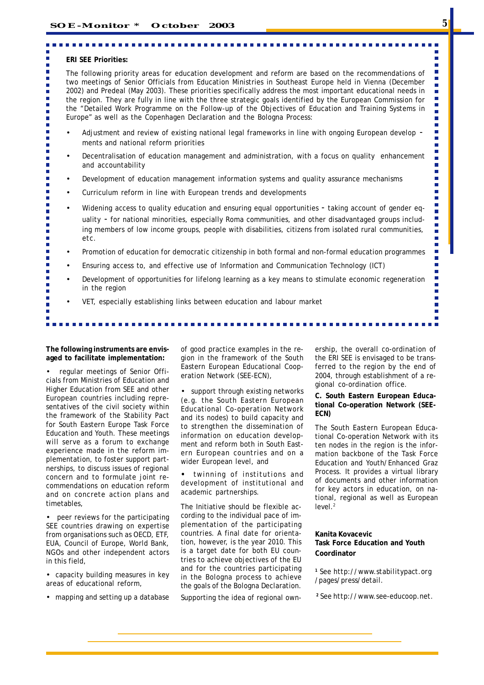#### **ERI SEE Priorities:**

٠

 $\blacksquare$ п

 $\mathbf{r}$ 

п

r.

п F

п  $\blacksquare$ 

 $\overline{\phantom{a}}$  $\blacksquare$ 

п ×

Ė

Ē

Ė Ė

 $\blacksquare$ 

Ē.

Ė  $\blacksquare$ 

 $\mathbf{r}$ 

٠ Ì.

Ì. É Ė Ė п

> п п

п

 $\blacksquare$ 

The following priority areas for education development and reform are based on the recommendations of two meetings of Senior Officials from Education Ministries in Southeast Europe held in Vienna (December 2002) and Predeal (May 2003). These priorities specifically address the most important educational needs in the region. They are fully in line with the three strategic goals identified by the European Commission for the "Detailed Work Programme on the Follow-up of the Objectives of Education and Training Systems in Europe" as well as the Copenhagen Declaration and the Bologna Process:

- Adjustment and review of existing national legal frameworks in line with ongoing European develop ments and national reform priorities
- Decentralisation of education management and administration, with a focus on quality enhancement and accountability
- Development of education management information systems and quality assurance mechanisms
- Curriculum reform in line with European trends and developments
- Widening access to quality education and ensuring equal opportunities taking account of gender equality - for national minorities, especially Roma communities, and other disadvantaged groups including members of low income groups, people with disabilities, citizens from isolated rural communities, etc.
- Promotion of education for democratic citizenship in both formal and non-formal education programmes
- Ensuring access to, and effective use of Information and Communication Technology (ICT)
- Development of opportunities for lifelong learning as a key means to stimulate economic regeneration in the region
- VET, especially establishing links between education and labour market

**The following instruments are envisaged to facilitate implementation:**

• regular meetings of Senior Officials from Ministries of Education and Higher Education from SEE and other European countries including representatives of the civil society within the framework of the Stability Pact for South Eastern Europe Task Force Education and Youth. These meetings will serve as a forum to exchange experience made in the reform implementation, to foster support partnerships, to discuss issues of regional concern and to formulate joint recommendations on education reform and on concrete action plans and timetables,

• peer reviews for the participating SEE countries drawing on expertise from organisations such as OECD, ETF, EUA, Council of Europe, World Bank, NGOs and other independent actors in this field,

• capacity building measures in key areas of educational reform,

• mapping and setting up a database

of good practice examples in the region in the framework of the South Eastern European Educational Cooperation Network (SEE-ECN),

support through existing networks (e.g. the South Eastern European Educational Co-operation Network and its nodes) to build capacity and to strengthen the dissemination of information on education development and reform both in South Eastern European countries and on a wider European level, and

twinning of institutions and development of institutional and academic partnerships.

The Initiative should be flexible according to the individual pace of implementation of the participating countries. A final date for orientation, however, is the year 2010. This is a target date for both EU countries to achieve objectives of the EU and for the countries participating in the Bologna process to achieve the goals of the Bologna Declaration.

Supporting the idea of regional own-

ership, the overall co-ordination of the ERI SEE is envisaged to be transferred to the region by the end of 2004, through establishment of a regional co-ordination office.

**C. South Eastern European Educational Co-operation Network (SEE-ECN)**

The South Eastern European Educational Co-operation Network with its ten nodes in the region is the information backbone of the Task Force Education and Youth/Enhanced Graz Process. It provides a virtual library of documents and other information for key actors in education, on national, regional as well as European level.<sup>2</sup>

### **Kanita Kovacevic Task Force Education and Youth Coordinator**

*<sup>1</sup> See http://www.stabilitypact.org /pages/press/detail.*

*<sup>2</sup> See http://www.see-educoop.net.*

 $\blacksquare$ 

П Ē.

Ħ

п  $\blacksquare$ 

L.

 $\overline{\phantom{a}}$  $\blacksquare$ i.

 $\overline{\phantom{a}}$ Ī.

 $\overline{\phantom{a}}$ 'n

п  $\blacksquare$ 

Ē.

 $\blacksquare$  $\overline{\phantom{a}}$  $\overline{\phantom{a}}$ 

i.

 $\blacksquare$ 

Ī.

 $\overline{\phantom{0}}$  $\blacksquare$ 

п

n

n

П  $\blacksquare$ 

п

п

п  $\blacksquare$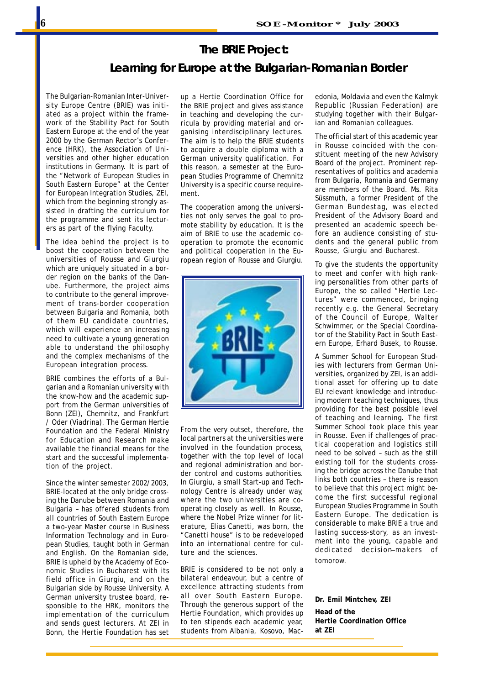### **The BRIE Project:**

### **Learning for Europe at the Bulgarian-Romanian Border**

The Bulgarian-Romanian Inter-University Europe Centre (BRIE) was initiated as a project within the framework of the Stability Pact for South Eastern Europe at the end of the year 2000 by the German Rector's Conference (HRK), the Association of Universities and other higher education institutions in Germany. It is part of the "Network of European Studies in South Eastern Europe" at the Center for European Integration Studies, ZEI, which from the beginning strongly assisted in drafting the curriculum for the programme and sent its lecturers as part of the flying Faculty.

The idea behind the project is to boost the cooperation between the universities of Rousse and Giurgiu which are uniquely situated in a border region on the banks of the Danube. Furthermore, the project aims to contribute to the general improvement of trans-border cooperation between Bulgaria and Romania, both of them EU candidate countries, which will experience an increasing need to cultivate a young generation able to understand the philosophy and the complex mechanisms of the European integration process.

BRIE combines the efforts of a Bulgarian and a Romanian university with the know-how and the academic support from the German universities of Bonn (ZEI), Chemnitz, and Frankfurt / Oder (Viadrina). The German Hertie Foundation and the Federal Ministry for Education and Research make available the financial means for the start and the successful implementation of the project.

Since the winter semester 2002/2003, BRIE-located at the only bridge crossing the Danube between Romania and Bulgaria – has offered students from all countries of South Eastern Europe a two-year Master course in Business Information Technology and in European Studies, taught both in German and English. On the Romanian side, BRIE is upheld by the Academy of Economic Studies in Bucharest with its field office in Giurgiu, and on the Bulgarian side by Rousse University. A German university trustee board, responsible to the HRK, monitors the implementation of the curriculum and sends guest lecturers. At ZEI in Bonn, the Hertie Foundation has set up a Hertie Coordination Office for the BRIE project and gives assistance in teaching and developing the curricula by providing material and organising interdisciplinary lectures. The aim is to help the BRIE students to acquire a double diploma with a German university qualification. For this reason, a semester at the European Studies Programme of Chemnitz University is a specific course requirement.

The cooperation among the universities not only serves the goal to promote stability by education. It is the aim of BRIE to use the academic cooperation to promote the economic and political cooperation in the European region of Rousse and Giurgiu.



From the very outset, therefore, the local partners at the universities were involved in the foundation process, together with the top level of local and regional administration and border control and customs authorities. In Giurgiu, a small Start-up and Technology Centre is already under way, where the two universities are cooperating closely as well. In Rousse, where the Nobel Prize winner for literature, Elias Canetti, was born, the "Canetti house" is to be redeveloped into an international centre for culture and the sciences.

BRIE is considered to be not only a bilateral endeavour, but a centre of excellence attracting students from all over South Eastern Europe. Through the generous support of the Hertie Foundation, which provides up to ten stipends each academic year, students from Albania, Kosovo, Macedonia, Moldavia and even the Kalmyk Republic (Russian Federation) are studying together with their Bulgarian and Romanian colleagues.

The official start of this academic year in Rousse coincided with the constituent meeting of the new Advisory Board of the project. Prominent representatives of politics and academia from Bulgaria, Romania and Germany are members of the Board. Ms. Rita Süssmuth, a former President of the German Bundestag, was elected President of the Advisory Board and presented an academic speech before an audience consisting of students and the general public from Rousse, Giurgiu and Bucharest.

To give the students the opportunity to meet and confer with high ranking personalities from other parts of Europe, the so called "Hertie Lectures" were commenced, bringing recently e.g. the General Secretary of the Council of Europe, Walter Schwimmer, or the Special Coordinator of the Stability Pact in South Eastern Europe, Erhard Busek, to Rousse.

A Summer School for European Studies with lecturers from German Universities, organized by ZEI, is an additional asset for offering up to date EU relevant knowledge and introducing modern teaching techniques, thus providing for the best possible level of teaching and learning. The first Summer School took place this year in Rousse. Even if challenges of practical cooperation and logistics still need to be solved – such as the still existing toll for the students crossing the bridge across the Danube that links both countries – there is reason to believe that this project might become the first successful regional European Studies Programme in South Eastern Europe. The dedication is considerable to make BRIE a true and lasting success-story, as an investment into the young, capable and dedicated decision–makers of tomorow.

**Dr. Emil Mintchev, ZEI Head of the Hertie Coordination Office at ZEI**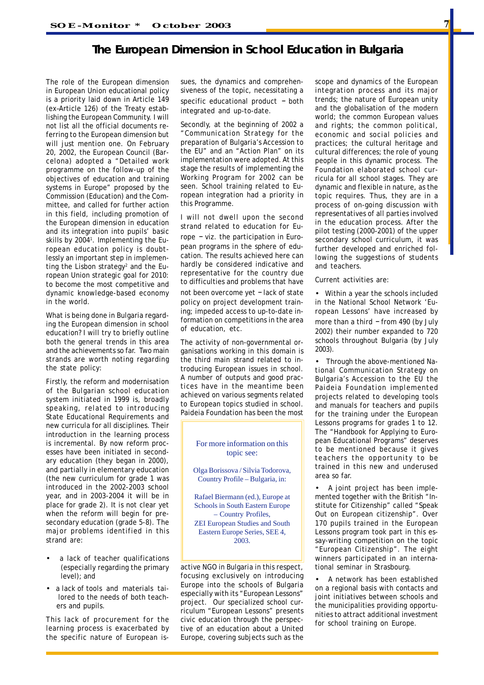### **The European Dimension in School Education in Bulgaria**

The role of the European dimension in European Union educational policy is a priority laid down in Article 149 (ex–Article 126) of the Treaty establishing the European Community. I will not list all the official documents referring to the European dimension but will just mention one. On February 20, 2002, the European Council (Barcelona) adopted a "Detailed work programme on the follow-up of the objectives of education and training systems in Europe" proposed by the Commission (Education) and the Committee, and called for further action in this field, including promotion of the European dimension in education and its integration into pupils' basic skills by 20041 . Implementing the European education policy is doubtlessly an important step in implementing the Lisbon strategy<sup>2</sup> and the European Union strategic goal for 2010: to become the most competitive and dynamic knowledge-based economy in the world.

What is being done in Bulgaria regarding the European dimension in school education? I will try to briefly outline both the general trends in this area and the achievements so far. Two main strands are worth noting regarding the state policy:

Firstly, the reform and modernisation of the Bulgarian school education system initiated in 1999 is, broadly speaking, related to introducing State Educational Requirements and new curricula for all disciplines. Their introduction in the learning process is incremental. By now reform processes have been initiated in secondary education (they began in 2000), and partially in elementary education (the new curriculum for grade 1 was introduced in the 2002-2003 school year, and in 2003-2004 it will be in place for grade 2). It is not clear yet when the reform will begin for presecondary education (grade 5-8). The major problems identified in this strand are:

- a lack of teacher qualifications (especially regarding the primary level); and
- a lack of tools and materials tai lored to the needs of both teach ers and pupils.

This lack of procurement for the learning process is exacerbated by the specific nature of European issues, the dynamics and comprehensiveness of the topic, necessitating a specific educational product – both integrated and up-to-date.

Secondly, at the beginning of 2002 a "Communication Strategy for the preparation of Bulgaria's Accession to the EU" and an "Action Plan" on its implementation were adopted. At this stage the results of implementing the Working Program for 2002 can be seen. School training related to European integration had a priority in this Programme.

I will not dwell upon the second strand related to education for Europe – viz. the participation in European programs in the sphere of education. The results achieved here can hardly be considered indicative and representative for the country due to difficulties and problems that have not been overcome yet – lack of state

policy on project development training; impeded access to up-to-date information on competitions in the area of education, etc.

The activity of non-governmental organisations working in this domain is the third main strand related to introducing European issues in school. A number of outputs and good practices have in the meantime been achieved on various segments related to European topics studied in school. Paideia Foundation has been the most

### For more information on this topic see:

Olga Borissova / Silvia Todorova, Country Profile – Bulgaria, in:

Rafael Biermann (ed.), Europe at Schools in South Eastern Europe – Country Profiles, ZEI European Studies and South Eastern Europe Series, SEE 4, 2003.

active NGO in Bulgaria in this respect, focusing exclusively on introducing Europe into the schools of Bulgaria especially with its "European Lessons" project. Our specialized school curriculum "European Lessons" presents civic education through the perspective of an education about a United Europe, covering subjects such as the scope and dynamics of the European integration process and its major trends; the nature of European unity and the globalisation of the modern world; the common European values and rights; the common political, economic and social policies and practices; the cultural heritage and cultural differences; the role of young people in this dynamic process. The Foundation elaborated school curricula for all school stages. They are dynamic and flexible in nature, as the topic requires. Thus, they are in a process of on-going discussion with representatives of all parties involved in the education process. After the pilot testing (2000-2001) of the upper secondary school curriculum, it was further developed and enriched following the suggestions of students and teachers.

Current activities are:

• Within a year the schools included in the National School Network 'European Lessons' have increased by more than a third – from 490 (by July 2002) their number expanded to 720 schools throughout Bulgaria (by July 2003).

• Through the above-mentioned National Communication Strategy on Bulgaria's Accession to the EU the Paideia Foundation implemented projects related to developing tools and manuals for teachers and pupils for the training under the European Lessons programs for grades 1 to 12. The "Handbook for Applying to European Educational Programs" deserves to be mentioned because it gives teachers the opportunity to be trained in this new and underused area so far.

• A joint project has been implemented together with the British "Institute for Citizenship" called "Speak Out on European citizenship". Over 170 pupils trained in the European Lessons program took part in this essay-writing competition on the topic "European Citizenship". The eight winners participated in an international seminar in Strasbourg.

• A network has been established on a regional basis with contacts and joint initiatives between schools and the municipalities providing opportunities to attract additional investment for school training on Europe.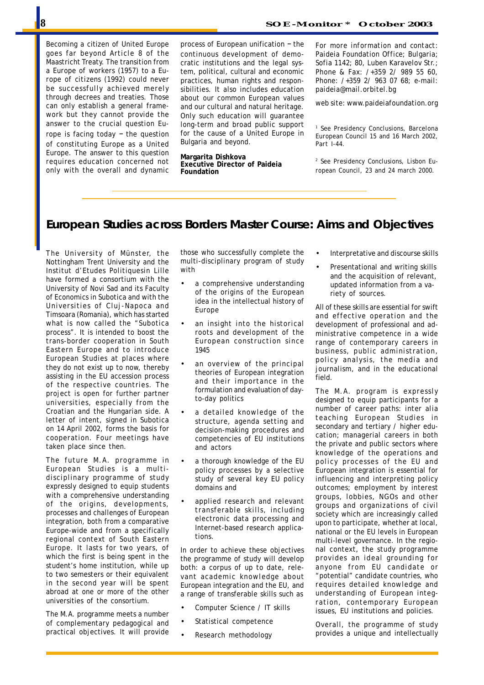Becoming a citizen of United Europe goes far beyond Article 8 of the Maastricht Treaty. The transition from a *Europe of workers (1957)* to a *Europe of citizens (1992)* could never be successfully achieved merely through decrees and treaties. Those can only establish a general framework but they cannot provide the answer to the crucial question Europe is facing today – the question of constituting Europe as a United Europe. The answer to this question requires education concerned not only with the overall and dynamic

process of European unification – the continuous development of democratic institutions and the legal system, political, cultural and economic practices, human rights and responsibilities. It also includes education about our common European values and our cultural and natural heritage. Only such education will guarantee long-term and broad public support for the cause of a United Europe in Bulgaria and beyond.

**Margarita Dishkova Executive Director of Paideia Foundation**

*For more information and contact: Paideia Foundation Office; Bulgaria; Sofia 1142; 80, Luben Karavelov Str.; Phone & Fax: /+359 2/ 989 55 60, Phone: /+359 2/ 963 07 68; e-mail: paideia@mail.orbitel.bg*

*web site: www.paideiafoundation.org*

1  *See Presidency Conclusions, Barcelona European Council 15 and 16 March 2002, Part I-44.*

*2 See Presidency Conclusions, Lisbon European Council, 23 and 24 march 2000.*

### **European Studies across Borders Master Course: Aims and Objectives**

The University of Münster, the Nottingham Trent University and the Institut d'Etudes Politiquesin Lille have formed a consortium with the University of Novi Sad and its Faculty of Economics in Subotica and with the Universities of Cluj-Napoca and Timsoara (Romania), which has started what is now called the "Subotica process". It is intended to boost the trans-border cooperation in South Eastern Europe and to introduce European Studies at places where they do not exist up to now, thereby assisting in the EU accession process of the respective countries. The project is open for further partner universities, especially from the Croatian and the Hungarian side. A letter of intent, signed in Subotica on 14 April 2002, forms the basis for cooperation. Four meetings have taken place since then.

The future M.A. programme in European Studies is a multidisciplinary programme of study expressly designed to equip students with a comprehensive understanding of the origins, developments, processes and challenges of European integration, both from a comparative Europe-wide and from a specifically regional context of South Eastern Europe. It lasts for two years, of which the first is being spent in the student's home institution, while up to two semesters or their equivalent in the second year will be spent abroad at one or more of the other universities of the consortium.

The M.A. programme meets a number of complementary pedagogical and practical objectives. It will provide

those who successfully complete the multi-disciplinary program of study with

- a comprehensive understanding of the origins of the European idea in the intellectual history of Europe
- an insight into the historical roots and development of the European construction since 1945
- an overview of the principal theories of European integration and their importance in the formulation and evaluation of dayto-day politics
- a detailed knowledge of the structure, agenda setting and decision-making procedures and competencies of EU institutions and actors
- a thorough knowledge of the EU policy processes by a selective study of several key EU policy domains and
- applied research and relevant transferable skills, including electronic data processing and Internet-based research applications.

In order to achieve these objectives the programme of study will develop both: a corpus of up to date, relevant academic knowledge about European integration and the EU, and a range of transferable skills such as

- Computer Science / IT skills
- Statistical competence
- Research methodology
- Interpretative and discourse skills
- Presentational and writing skills and the acquisition of relevant, updated information from a variety of sources.

All of these skills are essential for swift and effective operation and the development of professional and administrative competence in a wide range of contemporary careers in business, public administration, policy analysis, the media and journalism, and in the educational field.

The M.A. program is expressly designed to equip participants for a number of career paths: *inter alia* teaching European Studies in secondary and tertiary / higher education; managerial careers in both the private and public sectors where knowledge of the operations and policy processes of the EU and European integration is essential for influencing and interpreting policy outcomes; employment by interest groups, lobbies, NGOs and other groups and organizations of civil society which are increasingly called upon to participate, whether at local, national or the EU levels in European multi-level governance. In the regional context, the study programme provides an ideal grounding for anyone from EU candidate or "potential" candidate countries, who requires detailed knowledge and understanding of European integration, contemporary European issues, EU institutions and policies.

Overall, the programme of study provides a unique and intellectually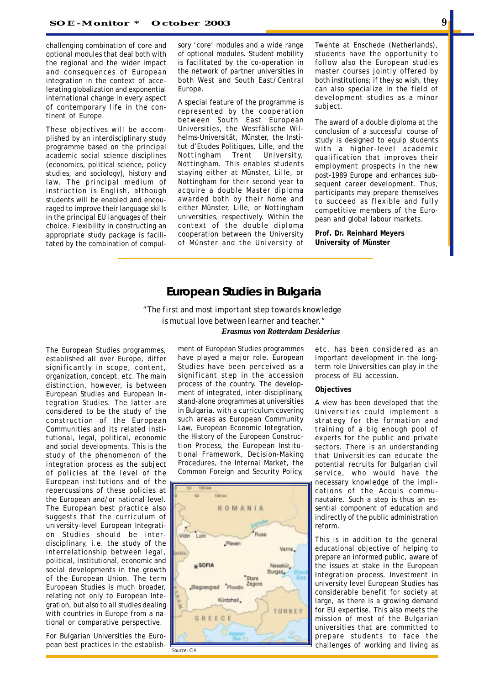challenging combination of core and optional modules that deal both with the regional and the wider impact and consequences of European integration in the context of accelerating globalization and exponential international change in every aspect of contemporary life in the continent of Europe.

These objectives will be accomplished by an interdisciplinary study programme based on the principal academic social science disciplines (economics, political science, policy studies, and sociology), history and law. The principal medium of instruction is English, although students will be enabled and encouraged to improve their language skills in the principal EU languages of their choice. Flexibility in constructing an appropriate study package is facilitated by the combination of compulsory 'core' modules and a wide range of optional modules. Student mobility is facilitated by the co-operation in the network of partner universities in both West and South East/Central Europe.

A special feature of the programme is represented by the cooperation between South East European Universities, the Westfälische Wilhelms-Universität, Münster, the Institut d'Etudes Politiques, Lille, and the Nottingham Trent University, Nottingham. This enables students staying either at Münster, Lille, or Nottingham for their second year to acquire a double Master diploma awarded both by their home and either Münster, Lille, or Nottingham universities, respectively. Within the context of the double diploma cooperation between the University of Münster and the University of

Twente at Enschede (Netherlands), students have the opportunity to follow also the European studies master courses jointly offered by both institutions; if they so wish, they can also specialize in the field of development studies as a minor subject.

The award of a double diploma at the conclusion of a successful course of study is designed to equip students with a higher-level academic qualification that improves their employment prospects in the new post-1989 Europe and enhances subsequent career development. Thus, participants may prepare themselves to succeed as flexible and fully competitive members of the European and global labour markets.

**Prof. Dr. Reinhard Meyers University of Münster**

### **European Studies in Bulgaria**

*"The first and most important step towards knowledge is mutual love between learner and teacher." Erasmus von Rotterdam Desiderius*

The European Studies programmes, established all over Europe, differ significantly in scope, content, organization, concept, etc. The main distinction, however, is between European Studies and European Integration Studies. The latter are considered to be the study of the construction of the European Communities and its related institutional, legal, political, economic and social developments. This is the study of the phenomenon of the integration process as the subject of policies at the level of the European institutions and of the repercussions of these policies at the European and/or national level. The European best practice also suggests that the curriculum of university-level European Integration Studies should be interdisciplinary, i.e. the study of the interrelationship between legal, political, institutional, economic and social developments in the growth of the European Union. The term European Studies is much broader, relating not only to European Integration, but also to all studies dealing with countries in Europe from a national or comparative perspective.

For Bulgarian Universities the European best practices in the establishment of European Studies programmes have played a major role. European Studies have been perceived as a significant step in the accession process of the country. The development of integrated, inter-disciplinary, stand-alone programmes at universities in Bulgaria, with a curriculum covering such areas as European Community Law, European Economic Integration, the History of the European Construction Process, the European Institutional Framework, Decision-Making Procedures, the Internal Market, the Common Foreign and Security Policy,



etc. has been considered as an important development in the longterm role Universities can play in the process of EU accession.

### **Objectives**

A view has been developed that the Universities could implement a strategy for the formation and training of a big enough pool of experts for the public and private sectors. There is an understanding that Universities can educate the potential recruits for Bulgarian civil service, who would have the necessary knowledge of the implications of the Acquis communautaire*.* Such a step is thus an essential component of education and indirectly of the public administration reform.

This is in addition to the general educational objective of helping to prepare an informed public, aware of the issues at stake in the European Integration process. Investment in university level European Studies has considerable benefit for society at large, as there is a growing demand for EU expertise. This also meets the mission of most of the Bulgarian universities that are committed to prepare students to face the challenges of working and living as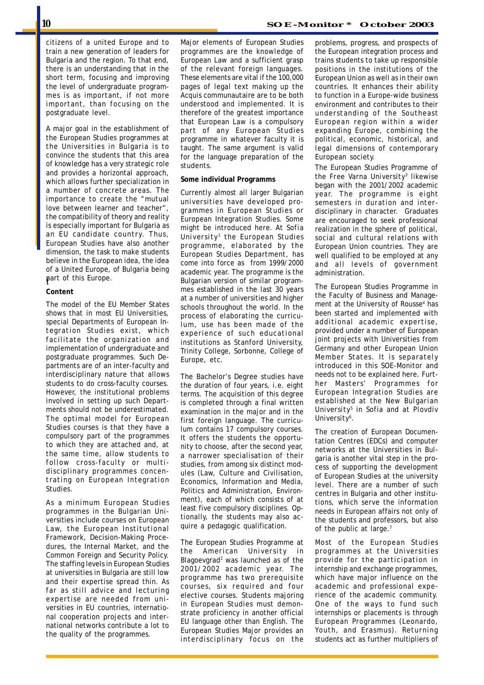citizens of a united Europe and to train a new generation of leaders for Bulgaria and the region. To that end, there is an understanding that in the short term, focusing and improving the level of undergraduate programmes is as important, if not more important, than focusing on the postgraduate level.

A major goal in the establishment of the European Studies programmes at the Universities in Bulgaria is to convince the students that this area of knowledge has a very strategic role and provides a horizontal approach, which allows further specialization in a number of concrete areas. The importance to create the "mutual love between learner and teacher", the compatibility of theory and reality is especially important for Bulgaria as an EU candidate country. Thus, European Studies have also another dimension, the task to make students believe in the European idea, the idea of a United Europe, of Bulgaria being part of this Europe. f

### **Content**

The model of the EU Member States shows that in most EU Universities, special Departments of European Integration Studies exist, which facilitate the organization and implementation of undergraduate and postgraduate programmes. Such Departments are of an inter-faculty and interdisciplinary nature that allows students to do cross-faculty courses. However, the institutional problems involved in setting up such Departments should not be underestimated. The optimal model for European Studies courses is that they have a compulsory part of the programmes to which they are attached and, at the same time, allow students to follow cross-faculty or multidisciplinary programmes concentrating on European Integration Studies.

As a minimum European Studies programmes in the Bulgarian Universities include courses on European Law, the European Institutional Framework, Decision-Making Procedures, the Internal Market, and the Common Foreign and Security Policy. The staffing levels in European Studies at universities in Bulgaria are still low and their expertise spread thin. As far as still advice and lecturing expertise are needed from universities in EU countries, international cooperation projects and international networks contribute a lot to the quality of the programmes.

Major elements of European Studies programmes are the knowledge of European Law and a sufficient grasp of the relevant foreign languages. These elements are vital if the 100,000 pages of legal text making up the Acquis communautaire are to be both understood and implemented. It is therefore of the greatest importance that European Law is a compulsory part of any European Studies programme in whatever faculty it is taught. The same argument is valid for the language preparation of the students.

#### **Some individual Programms**

Currently almost all larger Bulgarian universities have developed programmes in European Studies or European Integration Studies. Some might be introduced here. At *Sofia University*1 the European Studies programme, elaborated by the European Studies Department, has come into force as from 1999/2000 academic year. The programme is the Bulgarian version of similar programmes established in the last 30 years at a number of universities and higher schools throughout the world. In the process of elaborating the curriculum, use has been made of the experience of such educational institutions as Stanford University, Trinity College, Sorbonne, College of Europe, etc.

The Bachelor's Degree studies have the duration of four years, i.e. eight terms. The acquisition of this degree is completed through a final written examination in the major and in the first foreign language. The curriculum contains 17 compulsory courses. It offers the students the opportunity to choose, after the second year, a narrower specialisation of their studies, from among six distinct modules (Law, Culture and Civilisation, Economics, Information and Media, Politics and Administration, Environment), each of which consists of at least five compulsory disciplines. Optionally, the students may also acquire a pedagogic qualification.

The European Studies Programme at the *American University* in Blagoevgrad<sup>2</sup> was launched as of the 2001/2002 academic year. The programme has two prerequisite courses, six required and four elective courses. Students majoring in European Studies must demonstrate proficiency in another official EU language other than English. The European Studies Major provides an interdisciplinary focus on the

problems, progress, and prospects of the European integration process and trains students to take up responsible positions in the institutions of the European Union as well as in their own countries. It enhances their ability to function in a Europe-wide business environment and contributes to their understanding of the Southeast European region within a wider expanding Europe, combining the political, economic, historical, and legal dimensions of contemporary European society.

The European Studies Programme of the *Free Varna University*<sup>3</sup> likewise began with the 2001/2002 academic year. The programme is eight semesters in duration and interdisciplinary in character. Graduates are encouraged to seek professional realization in the sphere of political, social and cultural relations with European Union countries. They are well qualified to be employed at any and all levels of government administration.

The European Studies Programme in the Faculty of Business and Management at the University of *Rousse*<sup>4</sup> has been started and implemented with additional academic expertise, provided under a number of European joint projects with Universities from Germany and other European Union Member States. It is separately introduced in this SOE-Monitor and needs not to be explained here. Further Masters' Programmes for European Integration Studies are established at the *New Bulgarian University*<sup>5</sup> in Sofia and at *Plovdiv* University<sup>6</sup>.

The creation of European Documentation Centres (EDCs) and computer networks at the Universities in Bulgaria is another vital step in the process of supporting the development of European Studies at the university level. There are a number of such centres in Bulgaria and other institutions, which serve the information needs in European affairs not only of the students and professors, but also of the public at large.<sup>7</sup>

Most of the European Studies programmes at the Universities provide for the participation in internship and exchange programmes, which have major influence on the academic and professional experience of the academic community. One of the ways to fund such internships or placements is through European Programmes (Leonardo, Youth, and Erasmus). Returning students act as further multipliers of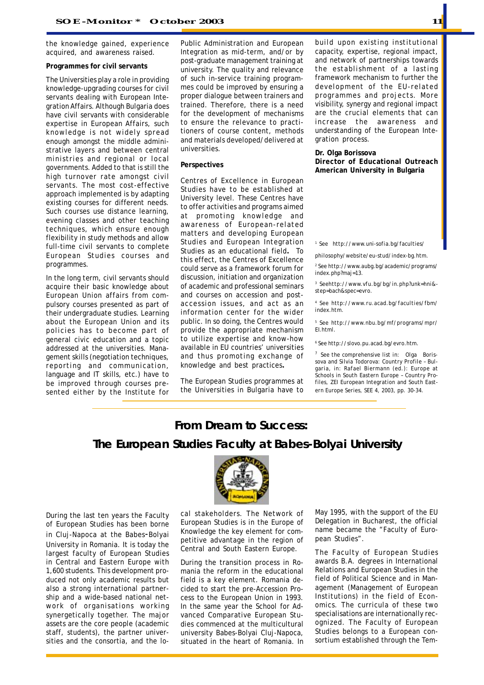the knowledge gained, experience acquired, and awareness raised.

#### **Programmes for civil servants**

The Universities play a role in providing knowledge-upgrading courses for civil servants dealing with European Integration Affairs. Although Bulgaria does have civil servants with considerable expertise in European Affairs, such knowledge is not widely spread enough amongst the middle administrative layers and between central ministries and regional or local governments. Added to that is still the high turnover rate amongst civil servants. The most cost-effective approach implemented is by adapting existing courses for different needs. Such courses use distance learning, evening classes and other teaching techniques, which ensure enough flexibility in study methods and allow full-time civil servants to complete European Studies courses and programmes.

In the long term, civil servants should acquire their basic knowledge about European Union affairs from compulsory courses presented as part of their undergraduate studies. Learning about the European Union and its policies has to become part of general civic education and a topic addressed at the universities. Management skills (negotiation techniques, reporting and communication, language and IT skills, etc.) have to be improved through courses presented either by the Institute for Public Administration and European Integration as mid-term, and/or by post-graduate management training at university. The quality and relevance of such in-service training programmes could be improved by ensuring a proper dialogue between trainers and trained. Therefore, there is a need for the development of mechanisms to ensure the relevance to practitioners of course content, methods and materials developed/delivered at universities.

#### **Perspectives**

Centres of Excellence in European Studies have to be established at University level. These Centres have to offer activities and programs aimed at promoting knowledge and awareness of European-related matters and developing European Studies and European Integration Studies as an educational field**.** To this effect, the Centres of Excellence could serve as a framework forum for discussion, initiation and organization of academic and professional seminars and courses on accession and postaccession issues, and act as an information center for the wider public. In so doing, the Centres would provide the appropriate mechanism to utilize expertise and know-how available in EU countries' universities and thus promoting exchange of knowledge and best practices**.**

The European Studies programmes at the Universities in Bulgaria have to build upon existing institutional capacity, expertise, regional impact, and network of partnerships towards the establishment of a lasting framework mechanism to further the development of the EU-related programmes and projects. More visibility, synergy and regional impact are the crucial elements that can increase the awareness and understanding of the European Integration process.

**Dr. Olga Borissova Director of Educational Outreach American University in Bulgaria**

*1 See http://www.uni-sofia.bg/faculties/*

*philosophy/website/eu-stud/index-bg.htm.*

*2 See http://www.aubg.bg/academic/programs/ index.php?maj=13.*

*3 Seehttp://www.vfu.bg/bg/in.php?unk=hni& step=bach&spec=evro.*

*4 See http://www.ru.acad.bg/faculties/fbm/ index.htm.*

*5 See http://www.nbu.bg/mf/programs/mpr/ EI.html.*

*6 See http://slovo.pu.acad.bg/evro.htm.*

*7 See the comprehensive list in: Olga Borissova and Silvia Todorova: Country Profile – Bulgaria, in: Rafael Biermann (ed.): Europe at Schools in South Eastern Europe – Country Profiles, ZEI European Integration and South Eastern Europe Series, SEE 4, 2003, pp. 30-34.*

# **From Dream to Success: The European Studies Faculty at Babes-Bolyai University**

During the last ten years the Faculty of European Studies has been borne in Cluj-Napoca at the Babes-Bolyai University in Romania. It is today the largest faculty of European Studies in Central and Eastern Europe with 1,600 students. This development produced not only academic results but also a strong international partnership and a wide-based national network of organisations working synergetically together. The major assets are the core people (academic staff, students), the partner universities and the consortia, and the lo-



cal stakeholders. The Network of European Studies is in the Europe of Knowledge the key element for competitive advantage in the region of Central and South Eastern Europe.

During the transition process in Romania the reform in the educational field is a key element. Romania decided to start the pre-Accession Process to the European Union in 1993. In the same year the School for Advanced Comparative European Studies commenced at the multicultural university Babes-Bolyai Cluj-Napoca, situated in the heart of Romania. In May 1995, with the support of the EU Delegation in Bucharest, the official name became the "Faculty of European Studies".

The Faculty of European Studies awards B.A. degrees in International Relations and European Studies in the field of Political Science and in Management (Management of European Institutions) in the field of Economics. The curricula of these two specialisations are internationally recognized. The Faculty of European Studies belongs to a European consortium established through the Tem-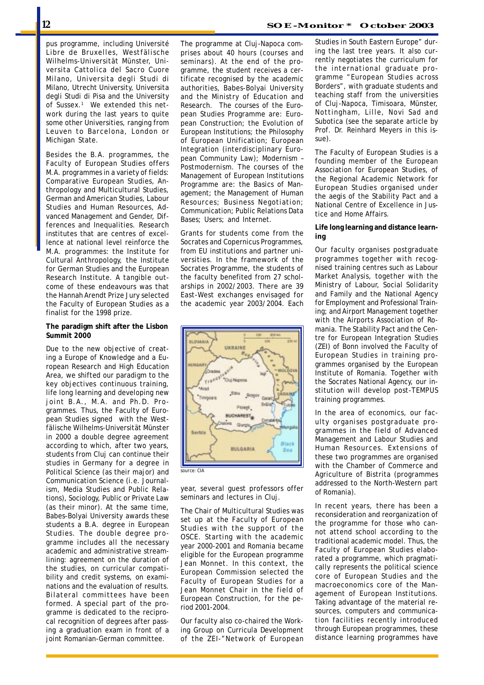pus programme, including Université Libre de Bruxelles, Westfälische Wilhelms-Universität Münster, Universita Cattolica del Sacro Cuore Milano, Universita degli Studi di Milano, Utrecht University, Universita degli Studi di Pisa and the University of Sussex.1 We extended this network during the last years to quite some other Universities, ranging from Leuven to Barcelona, London or Michigan State.

Besides the B.A. programmes, the Faculty of European Studies offers M.A. programmes in a variety of fields: Comparative European Studies, Anthropology and Multicultural Studies, German and American Studies, Labour Studies and Human Resources, Advanced Management and Gender, Differences and Inequalities. Research institutes that are centres of excellence at national level reinforce the M.A. programmes: the Institute for Cultural Anthropology, the Institute for German Studies and the European Research Institute. A tangible outcome of these endeavours was that the Hannah Arendt Prize Jury selected the Faculty of European Studies as a finalist for the 1998 prize.

### **The paradigm shift after the Lisbon Summit 2000**

Due to the new objective of creating a Europe of Knowledge and a European Research and High Education Area, we shifted our paradigm to the key objectives continuous training, life long learning and developing new joint B.A., M.A. and Ph.D. Programmes. Thus, the Faculty of European Studies signed with the Westfälische Wilhelms-Universität Münster in 2000 a double degree agreement according to which, after two years, students from Cluj can continue their studies in Germany for a degree in Political Science (as their major) and Communication Science (i.e. Journalism, Media Studies and Public Relations), Sociology, Public or Private Law (as their minor). At the same time, Babes-Bolyai University awards these students a B.A. degree in European Studies. The double degree programme includes all the necessary academic and administrative streamlining: agreement on the duration of the studies, on curricular compatibility and credit systems, on examinations and the evaluation of results. Bilateral committees have been formed. A special part of the programme is dedicated to the reciprocal recognition of degrees after passing a graduation exam in front of a joint Romanian-German committee.

The programme at Cluj-Napoca comprises about 40 hours (courses and seminars). At the end of the programme, the student receives a certificate recognised by the academic authorities, Babes-Bolyai University and the Ministry of Education and Research. The courses of the European Studies Programme are: European Construction; the Evolution of European Institutions; the Philosophy of European Unification; European Integration (interdisciplinary European Community Law); Modernism – Postmodernism. The courses of the Management of European Institutions Programme are: the Basics of Management; the Management of Human Resources; Business Negotiation; Communication; Public Relations Data Bases; Users; and Internet.

Grants for students come from the Socrates and Copernicus Programmes, from EU institutions and partner universities. In the framework of the Socrates Programme, the students of the faculty benefited from 27 scholarships in 2002/2003. There are 39 East-West exchanges envisaged for the academic year 2003/2004. Each



year, several guest professors offer seminars and lectures in Cluj.

The Chair of Multicultural Studies was set up at the Faculty of European Studies with the support of the OSCE. Starting with the academic year 2000-2001 and Romania became eligible for the European programme Jean Monnet. In this context, the European Commission selected the Faculty of European Studies for a Jean Monnet Chair in the field of European Construction, for the period 2001-2004.

Our faculty also co-chaired the Working Group on Curricula Development of the ZEI-"Network of European The Faculty of European Studies is a founding member of the European Association for European Studies, of the Regional Academic Network for European Studies organised under the aegis of the Stability Pact and a National Centre of Excellence in Justice and Home Affairs.

### **Life long learning and distance learning**

Our faculty organises postgraduate programmes together with recognised training centres such as Labour Market Analysis, together with the Ministry of Labour, Social Solidarity and Family and the National Agency for Employment and Professional Training; and Airport Management together with the Airports Association of Romania. The Stability Pact and the Centre for European Integration Studies (ZEI) of Bonn involved the Faculty of European Studies in training programmes organised by the European Institute of Romania. Together with the Socrates National Agency, our institution will develop post-TEMPUS training programmes.

In the area of economics, our faculty organises postgraduate programmes in the field of Advanced Management and Labour Studies and Human Resources. Extensions of these two programmes are organised with the Chamber of Commerce and Agriculture of Bistrita (programmes addressed to the North-Western part of Romania).

In recent years, there has been a reconsideration and reorganization of the programme for those who cannot attend school according to the traditional academic model. Thus, the Faculty of European Studies elaborated a programme, which pragmatically represents the political science core of European Studies and the macroeconomics core of the Management of European Institutions. Taking advantage of the material resources, computers and communication facilities recently introduced through European programmes, these distance learning programmes have

sue).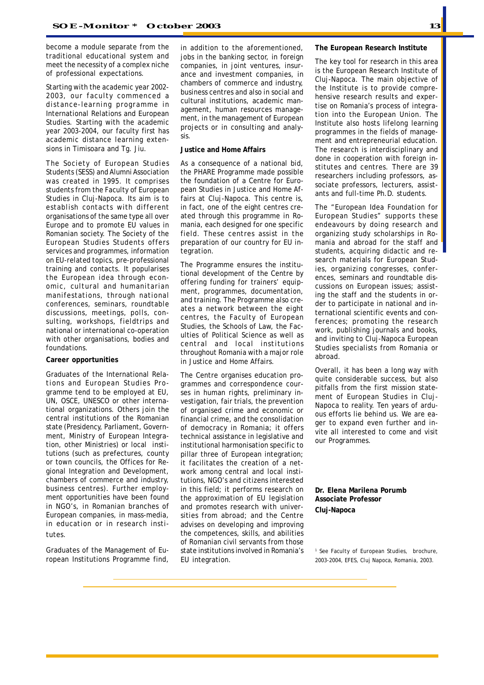become a module separate from the traditional educational system and meet the necessity of a complex niche of professional expectations.

Starting with the academic year 2002- 2003, our faculty commenced a distance-learning programme in International Relations and European Studies. Starting with the academic year 2003-2004, our faculty first has academic distance learning extensions in Timisoara and Tg. Jiu.

The Society of European Studies Students (SESS) and Alumni Association was created in 1995. It comprises students from the Faculty of European Studies in Cluj-Napoca. Its aim is to establish contacts with different organisations of the same type all over Europe and to promote EU values in Romanian society. The Society of the European Studies Students offers services and programmes, information on EU-related topics, pre-professional training and contacts. It popularises the European idea through economic, cultural and humanitarian manifestations, through national conferences, seminars, roundtable discussions, meetings, polls, consulting, workshops, fieldtrips and national or international co-operation with other organisations, bodies and foundations.

### **Career opportunities**

Graduates of the International Relations and European Studies Programme tend to be employed at EU, UN, OSCE, UNESCO or other international organizations. Others join the central institutions of the Romanian state (Presidency, Parliament, Government, Ministry of European Integration, other Ministries) or local institutions (such as prefectures, county or town councils, the Offices for Regional Integration and Development, chambers of commerce and industry, business centres). Further employment opportunities have been found in NGO's, in Romanian branches of European companies, in mass-media, in education or in research institutes.

Graduates of the Management of European Institutions Programme find,

in addition to the aforementioned, jobs in the banking sector, in foreign companies, in joint ventures, insurance and investment companies, in chambers of commerce and industry, business centres and also in social and cultural institutions, academic management, human resources management, in the management of European projects or in consulting and analysis.

### **Justice and Home Affairs**

As a consequence of a national bid, the PHARE Programme made possible the foundation of a Centre for European Studies in Justice and Home Affairs at Cluj-Napoca. This centre is, in fact, one of the eight centres created through this programme in Romania, each designed for one specific field. These centres assist in the preparation of our country for EU integration.

The Programme ensures the institutional development of the Centre by offering funding for trainers' equipment, programmes, documentation, and training. The Programme also creates a network between the eight centres, the Faculty of European Studies, the Schools of Law, the Faculties of Political Science as well as central and local institutions throughout Romania with a major role in Justice and Home Affairs.

The Centre organises education programmes and correspondence courses in human rights, preliminary investigation, fair trials, the prevention of organised crime and economic or financial crime, and the consolidation of democracy in Romania; it offers technical assistance in legislative and institutional harmonisation specific to pillar three of European integration; it facilitates the creation of a network among central and local institutions, NGO's and citizens interested in this field; it performs research on the approximation of EU legislation and promotes research with universities from abroad; and the Centre advises on developing and improving the competences, skills, and abilities of Romanian civil servants from those state institutions involved in Romania's EU integration.

### **The European Research Institute**

The key tool for research in this area is the European Research Institute of Cluj-Napoca. The main objective of the Institute is to provide comprehensive research results and expertise on Romania's process of integration into the European Union. The Institute also hosts lifelong learning programmes in the fields of management and entrepreneurial education. The research is interdisciplinary and done in cooperation with foreign institutes and centres. There are 39 researchers including professors, associate professors, lecturers, assistants and full-time Ph.D. students.

The "European Idea Foundation for European Studies" supports these endeavours by doing research and organizing study scholarships in Romania and abroad for the staff and students, acquiring didactic and research materials for European Studies, organizing congresses, conferences, seminars and roundtable discussions on European issues; assisting the staff and the students in order to participate in national and international scientific events and conferences; promoting the research work, publishing journals and books, and inviting to Cluj-Napoca European Studies specialists from Romania or abroad.

Overall, it has been a long way with quite considerable success, but also pitfalls from the first mission statement of European Studies in Cluj-Napoca to reality. Ten years of arduous efforts lie behind us. We are eager to expand even further and invite all interested to come and visit our Programmes.

**Dr. Elena Marilena Porumb Associate Professor Cluj-Napoca**

1  *See Faculty of European Studies, brochure, 2003-2004, EFES, Cluj Napoca, Romania, 2003.*